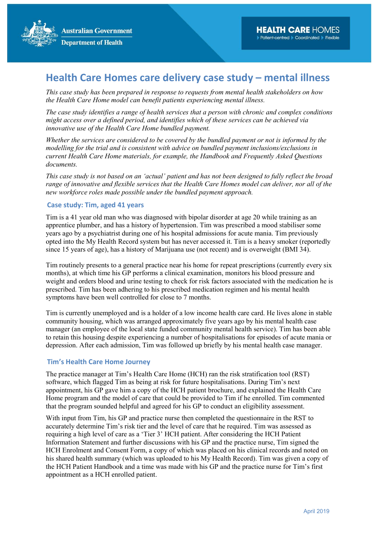

This case study has been prepared in response to requests from mental health stakeholders on how the Health Care Home model can benefit patients experiencing mental illness.

The case study identifies a range of health services that a person with chronic and complex conditions might access over a defined period, and identifies which of these services can be achieved via innovative use of the Health Care Home bundled payment.

Whether the services are considered to be covered by the bundled payment or not is informed by the modelling for the trial and is consistent with advice on bundled payment inclusions/exclusions in current Health Care Home materials, for example, the Handbook and Frequently Asked Questions documents.

This case study is not based on an 'actual' patient and has not been designed to fully reflect the broad range of innovative and flexible services that the Health Care Homes model can deliver, nor all of the new workforce roles made possible under the bundled payment approach.

### Case study: Tim, aged 41 years

Tim is a 41 year old man who was diagnosed with bipolar disorder at age 20 while training as an apprentice plumber, and has a history of hypertension. Tim was prescribed a mood stabiliser some years ago by a psychiatrist during one of his hospital admissions for acute mania. Tim previously opted into the My Health Record system but has never accessed it. Tim is a heavy smoker (reportedly since 15 years of age), has a history of Marijuana use (not recent) and is overweight (BMI 34).

Tim routinely presents to a general practice near his home for repeat prescriptions (currently every six months), at which time his GP performs a clinical examination, monitors his blood pressure and weight and orders blood and urine testing to check for risk factors associated with the medication he is prescribed. Tim has been adhering to his prescribed medication regimen and his mental health symptoms have been well controlled for close to 7 months.

Tim is currently unemployed and is a holder of a low income health care card. He lives alone in stable community housing, which was arranged approximately five years ago by his mental health case manager (an employee of the local state funded community mental health service). Tim has been able to retain this housing despite experiencing a number of hospitalisations for episodes of acute mania or depression. After each admission, Tim was followed up briefly by his mental health case manager.

### Tim's Health Care Home Journey

The practice manager at Tim's Health Care Home (HCH) ran the risk stratification tool (RST) software, which flagged Tim as being at risk for future hospitalisations. During Tim's next appointment, his GP gave him a copy of the HCH patient brochure, and explained the Health Care Home program and the model of care that could be provided to Tim if he enrolled. Tim commented that the program sounded helpful and agreed for his GP to conduct an eligibility assessment.

With input from Tim, his GP and practice nurse then completed the questionnaire in the RST to accurately determine Tim's risk tier and the level of care that he required. Tim was assessed as requiring a high level of care as a 'Tier 3' HCH patient. After considering the HCH Patient Information Statement and further discussions with his GP and the practice nurse, Tim signed the HCH Enrolment and Consent Form, a copy of which was placed on his clinical records and noted on his shared health summary (which was uploaded to his My Health Record). Tim was given a copy of the HCH Patient Handbook and a time was made with his GP and the practice nurse for Tim's first appointment as a HCH enrolled patient.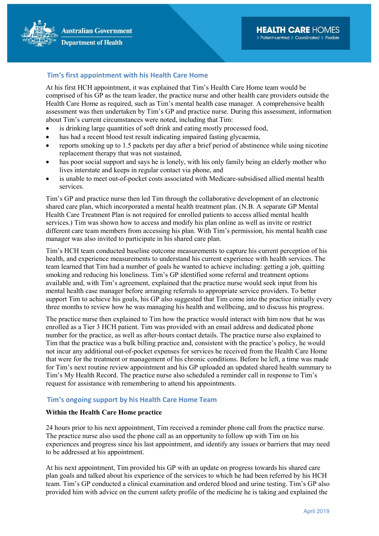# Tim's first appointment with his Health Care Home

At his first HCH appointment, it was explained that Tim's Health Care Home team would be comprised of his GP as the team leader, the practice nurse and other health care providers outside the Health Care Home as required, such as Tim's mental health case manager. A comprehensive health assessment was then undertaken by Tim's GP and practice nurse. During this assessment, information about Tim's current circumstances were noted, including that Tim:

- is drinking large quantities of soft drink and eating mostly processed food,
- has had a recent blood test result indicating impaired fasting glycaemia,
- reports smoking up to 1.5 packets per day after a brief period of abstinence while using nicotine replacement therapy that was not sustained,
- has poor social support and says he is lonely, with his only family being an elderly mother who lives interstate and keeps in regular contact via phone, and
- is unable to meet out-of-pocket costs associated with Medicare-subsidised allied mental health services.

Tim's GP and practice nurse then led Tim through the collaborative development of an electronic shared care plan, which incorporated a mental health treatment plan. (N.B. A separate GP Mental Health Care Treatment Plan is not required for enrolled patients to access allied mental health services.) Tim was shown how to access and modify his plan online as well as invite or restrict different care team members from accessing his plan. With Tim's permission, his mental health case manager was also invited to participate in his shared care plan.

Tim's HCH team conducted baseline outcome measurements to capture his current perception of his health, and experience measurements to understand his current experience with health services. The team learned that Tim had a number of goals he wanted to achieve including: getting a job, quitting smoking and reducing his loneliness. Tim's GP identified some referral and treatment options available and, with Tim's agreement, explained that the practice nurse would seek input from his mental health case manager before arranging referrals to appropriate service providers. To better support Tim to achieve his goals, his GP also suggested that Tim come into the practice initially every three months to review how he was managing his health and wellbeing, and to discuss his progress.

The practice nurse then explained to Tim how the practice would interact with him now that he was enrolled as a Tier 3 HCH patient. Tim was provided with an email address and dedicated phone number for the practice, as well as after-hours contact details. The practice nurse also explained to Tim that the practice was a bulk billing practice and, consistent with the practice's policy, he would not incur any additional out-of-pocket expenses for services he received from the Health Care Home that were for the treatment or management of his chronic conditions. Before he left, a time was made for Tim's next routine review appointment and his GP uploaded an updated shared health summary to Tim's My Health Record. The practice nurse also scheduled a reminder call in response to Tim's request for assistance with remembering to attend his appointments.

## Tim's ongoing support by his Health Care Home Team

### Within the Health Care Home practice

24 hours prior to his next appointment, Tim received a reminder phone call from the practice nurse. The practice nurse also used the phone call as an opportunity to follow up with Tim on his experiences and progress since his last appointment, and identify any issues or barriers that may need to be addressed at his appointment.

At his next appointment, Tim provided his GP with an update on progress towards his shared care plan goals and talked about his experience of the services to which he had been referred by his HCH team. Tim's GP conducted a clinical examination and ordered blood and urine testing. Tim's GP also provided him with advice on the current safety profile of the medicine he is taking and explained the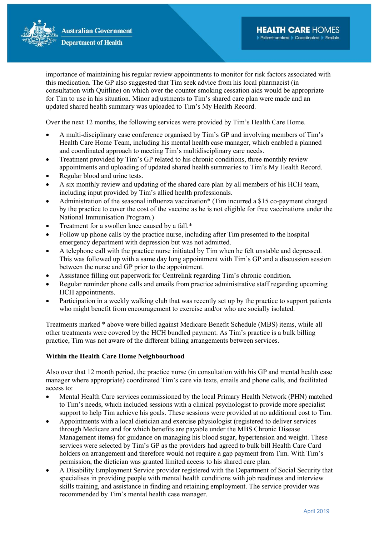

importance of maintaining his regular review appointments to monitor for risk factors associated with this medication. The GP also suggested that Tim seek advice from his local pharmacist (in consultation with Quitline) on which over the counter smoking cessation aids would be appropriate for Tim to use in his situation. Minor adjustments to Tim's shared care plan were made and an updated shared health summary was uploaded to Tim's My Health Record.

Over the next 12 months, the following services were provided by Tim's Health Care Home.

- A multi-disciplinary case conference organised by Tim's GP and involving members of Tim's Health Care Home Team, including his mental health case manager, which enabled a planned and coordinated approach to meeting Tim's multidisciplinary care needs.
- Treatment provided by Tim's GP related to his chronic conditions, three monthly review appointments and uploading of updated shared health summaries to Tim's My Health Record.
- Regular blood and urine tests.
- A six monthly review and updating of the shared care plan by all members of his HCH team, including input provided by Tim's allied health professionals.
- Administration of the seasonal influenza vaccination\* (Tim incurred a \$15 co-payment charged by the practice to cover the cost of the vaccine as he is not eligible for free vaccinations under the National Immunisation Program.)
- Treatment for a swollen knee caused by a fall.\*
- Follow up phone calls by the practice nurse, including after Tim presented to the hospital emergency department with depression but was not admitted.
- A telephone call with the practice nurse initiated by Tim when he felt unstable and depressed. This was followed up with a same day long appointment with Tim's GP and a discussion session between the nurse and GP prior to the appointment.
- Assistance filling out paperwork for Centrelink regarding Tim's chronic condition.
- Regular reminder phone calls and emails from practice administrative staff regarding upcoming HCH appointments.
- Participation in a weekly walking club that was recently set up by the practice to support patients who might benefit from encouragement to exercise and/or who are socially isolated.

Treatments marked \* above were billed against Medicare Benefit Schedule (MBS) items, while all other treatments were covered by the HCH bundled payment. As Tim's practice is a bulk billing practice, Tim was not aware of the different billing arrangements between services.

### Within the Health Care Home Neighbourhood

Also over that 12 month period, the practice nurse (in consultation with his GP and mental health case manager where appropriate) coordinated Tim's care via texts, emails and phone calls, and facilitated access to:

- Mental Health Care services commissioned by the local Primary Health Network (PHN) matched to Tim's needs, which included sessions with a clinical psychologist to provide more specialist support to help Tim achieve his goals. These sessions were provided at no additional cost to Tim.
- Appointments with a local dietician and exercise physiologist (registered to deliver services through Medicare and for which benefits are payable under the MBS Chronic Disease Management items) for guidance on managing his blood sugar, hypertension and weight. These services were selected by Tim's GP as the providers had agreed to bulk bill Health Care Card holders on arrangement and therefore would not require a gap payment from Tim. With Tim's permission, the dietician was granted limited access to his shared care plan.
- A Disability Employment Service provider registered with the Department of Social Security that specialises in providing people with mental health conditions with job readiness and interview skills training, and assistance in finding and retaining employment. The service provider was recommended by Tim's mental health case manager.